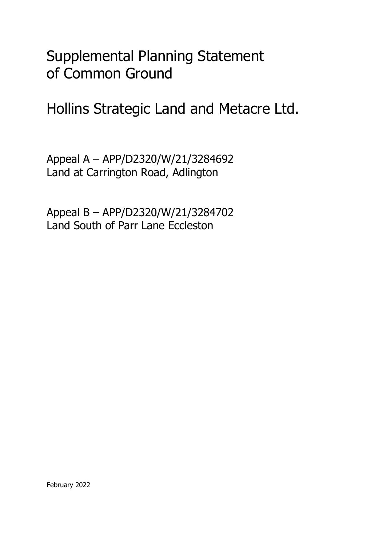Supplemental Planning Statement of Common Ground

Hollins Strategic Land and Metacre Ltd.

Appeal A – APP/D2320/W/21/3284692 Land at Carrington Road, Adlington

Appeal B – APP/D2320/W/21/3284702 Land South of Parr Lane Eccleston

February 2022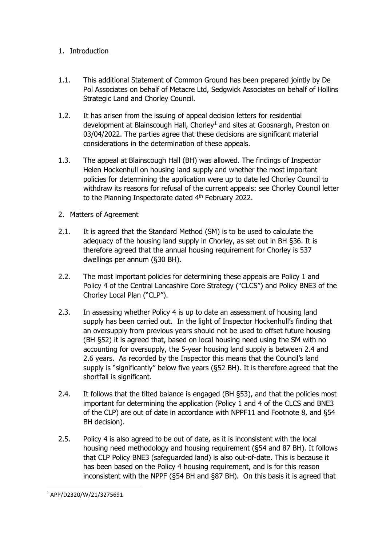## 1. Introduction

- 1.1. This additional Statement of Common Ground has been prepared jointly by De Pol Associates on behalf of Metacre Ltd, Sedgwick Associates on behalf of Hollins Strategic Land and Chorley Council.
- 1.2. It has arisen from the issuing of appeal decision letters for residential development at Blainscough Hall, Chorley<sup>[1](#page-1-0)</sup> and sites at Goosnargh, Preston on 03/04/2022. The parties agree that these decisions are significant material considerations in the determination of these appeals.
- 1.3. The appeal at Blainscough Hall (BH) was allowed. The findings of Inspector Helen Hockenhull on housing land supply and whether the most important policies for determining the application were up to date led Chorley Council to withdraw its reasons for refusal of the current appeals: see Chorley Council letter to the Planning Inspectorate dated 4<sup>th</sup> February 2022.
- 2. Matters of Agreement
- 2.1. It is agreed that the Standard Method (SM) is to be used to calculate the adequacy of the housing land supply in Chorley, as set out in BH §36. It is therefore agreed that the annual housing requirement for Chorley is 537 dwellings per annum (§30 BH).
- 2.2. The most important policies for determining these appeals are Policy 1 and Policy 4 of the Central Lancashire Core Strategy ("CLCS") and Policy BNE3 of the Chorley Local Plan ("CLP").
- 2.3. In assessing whether Policy 4 is up to date an assessment of housing land supply has been carried out. In the light of Inspector Hockenhull's finding that an oversupply from previous years should not be used to offset future housing (BH §52) it is agreed that, based on local housing need using the SM with no accounting for oversupply, the 5-year housing land supply is between 2.4 and 2.6 years. As recorded by the Inspector this means that the Council's land supply is "significantly" below five years (§52 BH). It is therefore agreed that the shortfall is significant.
- 2.4. It follows that the tilted balance is engaged (BH §53), and that the policies most important for determining the application (Policy 1 and 4 of the CLCS and BNE3 of the CLP) are out of date in accordance with NPPF11 and Footnote 8, and §54 BH decision).
- 2.5. Policy 4 is also agreed to be out of date, as it is inconsistent with the local housing need methodology and housing requirement (§54 and 87 BH). It follows that CLP Policy BNE3 (safeguarded land) is also out-of-date. This is because it has been based on the Policy 4 housing requirement, and is for this reason inconsistent with the NPPF (§54 BH and §87 BH). On this basis it is agreed that

<span id="page-1-0"></span><sup>1</sup> APP/D2320/W/21/3275691